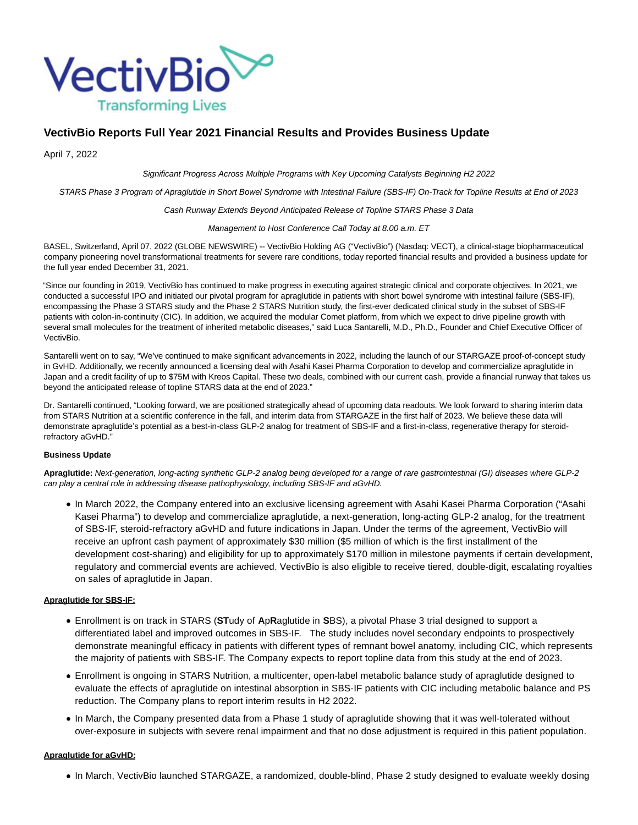

# **VectivBio Reports Full Year 2021 Financial Results and Provides Business Update**

April 7, 2022

Significant Progress Across Multiple Programs with Key Upcoming Catalysts Beginning H2 2022

STARS Phase 3 Program of Apraglutide in Short Bowel Syndrome with Intestinal Failure (SBS-IF) On-Track for Topline Results at End of 2023

Cash Runway Extends Beyond Anticipated Release of Topline STARS Phase 3 Data

Management to Host Conference Call Today at 8.00 a.m. ET

BASEL, Switzerland, April 07, 2022 (GLOBE NEWSWIRE) -- VectivBio Holding AG ("VectivBio") (Nasdaq: VECT), a clinical-stage biopharmaceutical company pioneering novel transformational treatments for severe rare conditions, today reported financial results and provided a business update for the full year ended December 31, 2021.

"Since our founding in 2019, VectivBio has continued to make progress in executing against strategic clinical and corporate objectives. In 2021, we conducted a successful IPO and initiated our pivotal program for apraglutide in patients with short bowel syndrome with intestinal failure (SBS-IF), encompassing the Phase 3 STARS study and the Phase 2 STARS Nutrition study, the first-ever dedicated clinical study in the subset of SBS-IF patients with colon-in-continuity (CIC). In addition, we acquired the modular Comet platform, from which we expect to drive pipeline growth with several small molecules for the treatment of inherited metabolic diseases," said Luca Santarelli, M.D., Ph.D., Founder and Chief Executive Officer of VectivBio.

Santarelli went on to say, "We've continued to make significant advancements in 2022, including the launch of our STARGAZE proof-of-concept study in GvHD. Additionally, we recently announced a licensing deal with Asahi Kasei Pharma Corporation to develop and commercialize apraglutide in Japan and a credit facility of up to \$75M with Kreos Capital. These two deals, combined with our current cash, provide a financial runway that takes us beyond the anticipated release of topline STARS data at the end of 2023."

Dr. Santarelli continued, "Looking forward, we are positioned strategically ahead of upcoming data readouts. We look forward to sharing interim data from STARS Nutrition at a scientific conference in the fall, and interim data from STARGAZE in the first half of 2023. We believe these data will demonstrate apraglutide's potential as a best-in-class GLP-2 analog for treatment of SBS-IF and a first-in-class, regenerative therapy for steroidrefractory aGvHD."

#### **Business Update**

**Apraglutide:** Next-generation, long-acting synthetic GLP-2 analog being developed for a range of rare gastrointestinal (GI) diseases where GLP-2 can play a central role in addressing disease pathophysiology, including SBS-IF and aGvHD.

In March 2022, the Company entered into an exclusive licensing agreement with Asahi Kasei Pharma Corporation ("Asahi Kasei Pharma") to develop and commercialize apraglutide, a next-generation, long-acting GLP-2 analog, for the treatment of SBS-IF, steroid-refractory aGvHD and future indications in Japan. Under the terms of the agreement, VectivBio will receive an upfront cash payment of approximately \$30 million (\$5 million of which is the first installment of the development cost-sharing) and eligibility for up to approximately \$170 million in milestone payments if certain development, regulatory and commercial events are achieved. VectivBio is also eligible to receive tiered, double-digit, escalating royalties on sales of apraglutide in Japan.

### **Apraglutide for SBS-IF:**

- Enrollment is on track in STARS (**ST**udy of **A**p**R**aglutide in **S**BS), a pivotal Phase 3 trial designed to support a differentiated label and improved outcomes in SBS-IF. The study includes novel secondary endpoints to prospectively demonstrate meaningful efficacy in patients with different types of remnant bowel anatomy, including CIC, which represents the majority of patients with SBS-IF. The Company expects to report topline data from this study at the end of 2023.
- Enrollment is ongoing in STARS Nutrition, a multicenter, open-label metabolic balance study of apraglutide designed to evaluate the effects of apraglutide on intestinal absorption in SBS-IF patients with CIC including metabolic balance and PS reduction. The Company plans to report interim results in H2 2022.
- In March, the Company presented data from a Phase 1 study of apraglutide showing that it was well-tolerated without over-exposure in subjects with severe renal impairment and that no dose adjustment is required in this patient population.

#### **Apraglutide for aGvHD:**

In March, VectivBio launched STARGAZE, a randomized, double-blind, Phase 2 study designed to evaluate weekly dosing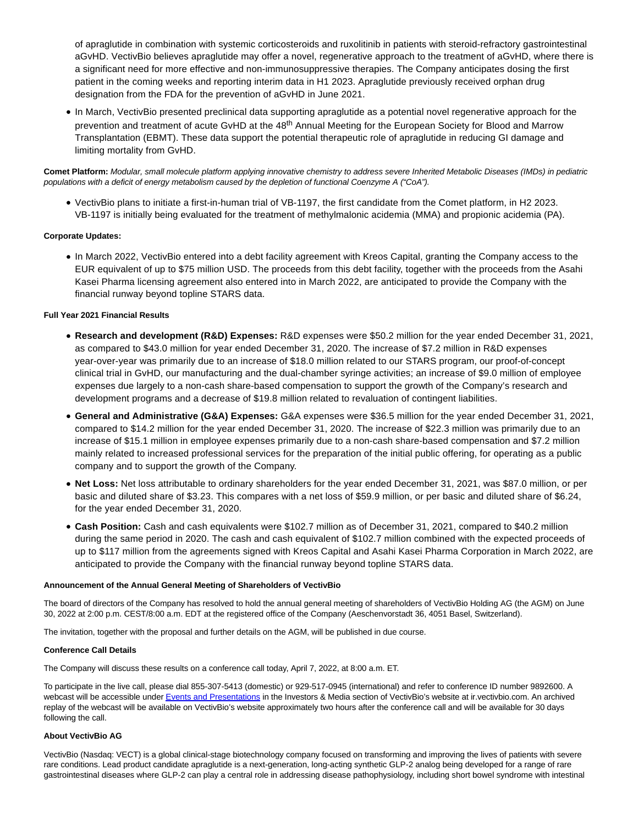of apraglutide in combination with systemic corticosteroids and ruxolitinib in patients with steroid-refractory gastrointestinal aGvHD. VectivBio believes apraglutide may offer a novel, regenerative approach to the treatment of aGvHD, where there is a significant need for more effective and non-immunosuppressive therapies. The Company anticipates dosing the first patient in the coming weeks and reporting interim data in H1 2023. Apraglutide previously received orphan drug designation from the FDA for the prevention of aGvHD in June 2021.

• In March, VectivBio presented preclinical data supporting apraglutide as a potential novel regenerative approach for the prevention and treatment of acute GvHD at the 48<sup>th</sup> Annual Meeting for the European Society for Blood and Marrow Transplantation (EBMT). These data support the potential therapeutic role of apraglutide in reducing GI damage and limiting mortality from GvHD.

**Comet Platform:** Modular, small molecule platform applying innovative chemistry to address severe Inherited Metabolic Diseases (IMDs) in pediatric populations with a deficit of energy metabolism caused by the depletion of functional Coenzyme A ("CoA").

VectivBio plans to initiate a first-in-human trial of VB-1197, the first candidate from the Comet platform, in H2 2023. VB-1197 is initially being evaluated for the treatment of methylmalonic acidemia (MMA) and propionic acidemia (PA).

### **Corporate Updates:**

In March 2022, VectivBio entered into a debt facility agreement with Kreos Capital, granting the Company access to the EUR equivalent of up to \$75 million USD. The proceeds from this debt facility, together with the proceeds from the Asahi Kasei Pharma licensing agreement also entered into in March 2022, are anticipated to provide the Company with the financial runway beyond topline STARS data.

### **Full Year 2021 Financial Results**

- **Research and development (R&D) Expenses:** R&D expenses were \$50.2 million for the year ended December 31, 2021, as compared to \$43.0 million for year ended December 31, 2020. The increase of \$7.2 million in R&D expenses year-over-year was primarily due to an increase of \$18.0 million related to our STARS program, our proof-of-concept clinical trial in GvHD, our manufacturing and the dual-chamber syringe activities; an increase of \$9.0 million of employee expenses due largely to a non-cash share-based compensation to support the growth of the Company's research and development programs and a decrease of \$19.8 million related to revaluation of contingent liabilities.
- **General and Administrative (G&A) Expenses:** G&A expenses were \$36.5 million for the year ended December 31, 2021, compared to \$14.2 million for the year ended December 31, 2020. The increase of \$22.3 million was primarily due to an increase of \$15.1 million in employee expenses primarily due to a non-cash share-based compensation and \$7.2 million mainly related to increased professional services for the preparation of the initial public offering, for operating as a public company and to support the growth of the Company.
- **Net Loss:** Net loss attributable to ordinary shareholders for the year ended December 31, 2021, was \$87.0 million, or per basic and diluted share of \$3.23. This compares with a net loss of \$59.9 million, or per basic and diluted share of \$6.24, for the year ended December 31, 2020.
- **Cash Position:** Cash and cash equivalents were \$102.7 million as of December 31, 2021, compared to \$40.2 million during the same period in 2020. The cash and cash equivalent of \$102.7 million combined with the expected proceeds of up to \$117 million from the agreements signed with Kreos Capital and Asahi Kasei Pharma Corporation in March 2022, are anticipated to provide the Company with the financial runway beyond topline STARS data.

#### **Announcement of the Annual General Meeting of Shareholders of VectivBio**

The board of directors of the Company has resolved to hold the annual general meeting of shareholders of VectivBio Holding AG (the AGM) on June 30, 2022 at 2:00 p.m. CEST/8:00 a.m. EDT at the registered office of the Company (Aeschenvorstadt 36, 4051 Basel, Switzerland).

The invitation, together with the proposal and further details on the AGM, will be published in due course.

### **Conference Call Details**

The Company will discuss these results on a conference call today, April 7, 2022, at 8:00 a.m. ET.

To participate in the live call, please dial 855-307-5413 (domestic) or 929-517-0945 (international) and refer to conference ID number 9892600. A webcast will be accessible unde[r Events and Presentations i](https://www.globenewswire.com/Tracker?data=hA_JSzep8F7VegL8m8j0oNHE011iE2arPJtiT-kTdkp1qmPyj8tZEw1wB_LzJxhrNjWo47je2EaQLHyAd20RQB3H5EgRPACRyUR7XS_uXgEzKVpZ-kaOQTC1ulJlsoL-)n the Investors & Media section of VectivBio's website at ir.vectivbio.com. An archived replay of the webcast will be available on VectivBio's website approximately two hours after the conference call and will be available for 30 days following the call.

#### **About VectivBio AG**

VectivBio (Nasdaq: VECT) is a global clinical-stage biotechnology company focused on transforming and improving the lives of patients with severe rare conditions. Lead product candidate apraglutide is a next-generation, long-acting synthetic GLP-2 analog being developed for a range of rare gastrointestinal diseases where GLP-2 can play a central role in addressing disease pathophysiology, including short bowel syndrome with intestinal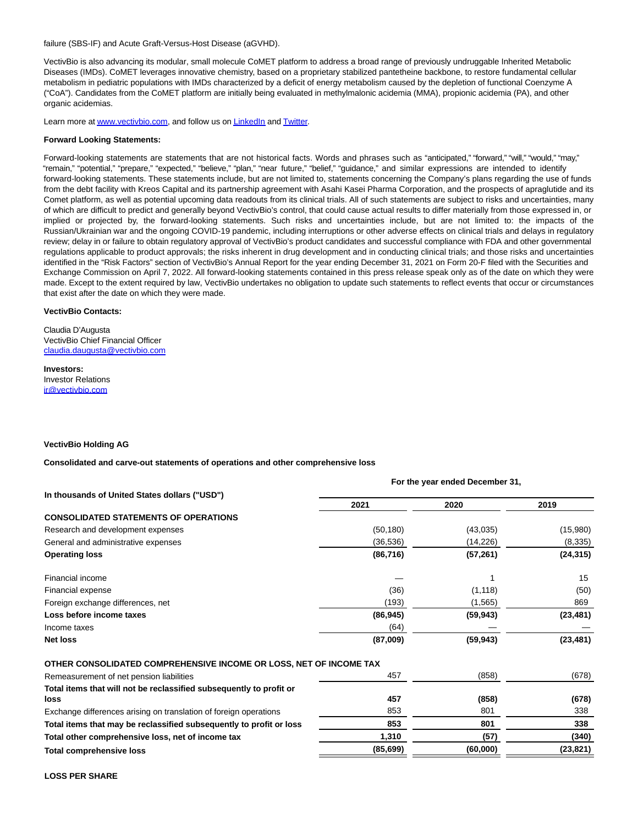failure (SBS-IF) and Acute Graft-Versus-Host Disease (aGVHD).

VectivBio is also advancing its modular, small molecule CoMET platform to address a broad range of previously undruggable Inherited Metabolic Diseases (IMDs). CoMET leverages innovative chemistry, based on a proprietary stabilized pantetheine backbone, to restore fundamental cellular metabolism in pediatric populations with IMDs characterized by a deficit of energy metabolism caused by the depletion of functional Coenzyme A ("CoA"). Candidates from the CoMET platform are initially being evaluated in methylmalonic acidemia (MMA), propionic acidemia (PA), and other organic acidemias.

Learn more a[t www.vectivbio.com,](https://www.globenewswire.com/Tracker?data=3_1AVfWQ31S0AP4eZ7t71L2iGz0ASuAvth7jS77uBBWVa6yHWZRbL_LbNb9JS36maY_knGCEV--BX7XpNboJiA==) and follow us o[n LinkedIn a](https://www.globenewswire.com/Tracker?data=xKe9A2cQypj0tB3zwLgxYCE2pDV_F614rv_dsNodT9171fVVUISXaHSma2_NyxG1ptnR5w1jDWggQoXaK0sWvJpP6SGHtS8D-Y0N_nWNHls=)nd [Twitter.](https://www.globenewswire.com/Tracker?data=5QZBvtTFTakO0UosEpejOKL5IWfDltofkglSH9qlTtrje96-IALD88iH01IE5goNnirDqjGkk5pkKdf7wqxc0g==)

#### **Forward Looking Statements:**

Forward-looking statements are statements that are not historical facts. Words and phrases such as "anticipated," "forward," "will," "would," "may," "remain," "potential," "prepare," "expected," "believe," "plan," "near future," "belief," "guidance," and similar expressions are intended to identify forward-looking statements. These statements include, but are not limited to, statements concerning the Company's plans regarding the use of funds from the debt facility with Kreos Capital and its partnership agreement with Asahi Kasei Pharma Corporation, and the prospects of apraglutide and its Comet platform, as well as potential upcoming data readouts from its clinical trials. All of such statements are subject to risks and uncertainties, many of which are difficult to predict and generally beyond VectivBio's control, that could cause actual results to differ materially from those expressed in, or implied or projected by, the forward-looking statements. Such risks and uncertainties include, but are not limited to: the impacts of the Russian/Ukrainian war and the ongoing COVID-19 pandemic, including interruptions or other adverse effects on clinical trials and delays in regulatory review; delay in or failure to obtain regulatory approval of VectivBio's product candidates and successful compliance with FDA and other governmental regulations applicable to product approvals; the risks inherent in drug development and in conducting clinical trials; and those risks and uncertainties identified in the "Risk Factors" section of VectivBio's Annual Report for the year ending December 31, 2021 on Form 20-F filed with the Securities and Exchange Commission on April 7, 2022. All forward-looking statements contained in this press release speak only as of the date on which they were made. Except to the extent required by law, VectivBio undertakes no obligation to update such statements to reflect events that occur or circumstances that exist after the date on which they were made.

#### **VectivBio Contacts:**

Claudia D'Augusta VectivBio Chief Financial Officer [claudia.daugusta@vectivbio.com](https://www.globenewswire.com/Tracker?data=Mfb8BTSm3P5TAyAVR0vQ8dgJhhymFVxnaw0qlpauuGxSqL35ti2mowO3rqsgukxZo1_o81Xhcaib4IxeQ8eISNLSpQbMM67BJFpMf2fefeNnuBCYdPxXY6f4dZxGf2Fb)

**Investors:** Investor Relations [ir@vectivbio.com](https://www.globenewswire.com/Tracker?data=CBCSYWOXzEgjOh--sPUHWFw97lUyZ2ZOGdo6vCrO5yX5DQv6a-STYtAqPYB4NZJwmjFdwNNI9GbgktrymTFPsQ==)

#### **VectivBio Holding AG**

**Consolidated and carve-out statements of operations and other comprehensive loss**

|                                                                     | For the year ended December 31, |           |           |
|---------------------------------------------------------------------|---------------------------------|-----------|-----------|
| In thousands of United States dollars ("USD")                       |                                 |           |           |
|                                                                     | 2021                            | 2020      | 2019      |
| <b>CONSOLIDATED STATEMENTS OF OPERATIONS</b>                        |                                 |           |           |
| Research and development expenses                                   | (50, 180)                       | (43,035)  | (15,980)  |
| General and administrative expenses                                 | (36, 536)                       | (14,226)  | (8,335)   |
| <b>Operating loss</b>                                               | (86, 716)                       | (57, 261) | (24, 315) |
| Financial income                                                    |                                 |           | 15        |
| Financial expense                                                   | (36)                            | (1, 118)  | (50)      |
| Foreign exchange differences, net                                   | (193)                           | (1, 565)  | 869       |
| Loss before income taxes                                            | (86, 945)                       | (59, 943) | (23, 481) |
| Income taxes                                                        | (64)                            |           |           |
| <b>Net loss</b>                                                     | (87,009)                        | (59, 943) | (23, 481) |
| OTHER CONSOLIDATED COMPREHENSIVE INCOME OR LOSS, NET OF INCOME TAX  |                                 |           |           |
| Remeasurement of net pension liabilities                            | 457                             | (858)     | (678)     |
| Total items that will not be reclassified subsequently to profit or |                                 |           |           |
| loss                                                                | 457                             | (858)     | (678)     |
| Exchange differences arising on translation of foreign operations   | 853                             | 801       | 338       |
| Total items that may be reclassified subsequently to profit or loss | 853                             | 801       | 338       |
| Total other comprehensive loss, net of income tax                   | 1,310                           | (57)      | (340)     |
| <b>Total comprehensive loss</b>                                     | (85, 699)                       | (60,000)  | (23,821)  |